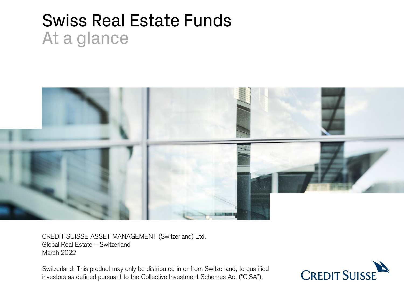# Swiss Real Estate Funds At a glance



CREDIT SUISSE ASSET MANAGEMENT (Switzerland) Ltd. Global Real Estate – Switzerland March 2022

Switzerland: This product may only be distributed in or from Switzerland, to qualified investors as defined pursuant to the Collective Investment Schemes Act ("CISA").

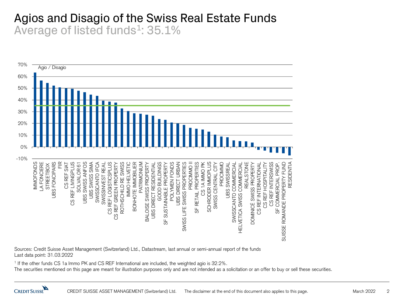# Agios and Disagio of the Swiss Real Estate Funds Average of listed funds<sup>1</sup>: 35.1%



Sources: Credit Suisse Asset Management (Switzerland) Ltd., Datastream, last annual or semi-annual report of the funds Last data point: 31.03.2022

1 If the other funds CS 1a Immo PK and CS REF International are included, the weighted agio is 32.2%.

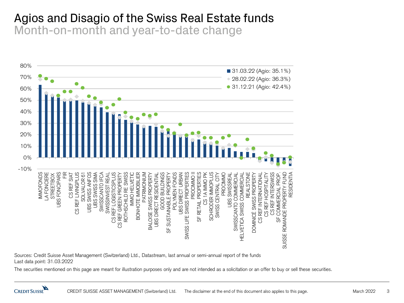#### Agios and Disagio of the Swiss Real Estate funds Month-on-month and year-to-date change



Sources: Credit Suisse Asset Management (Switzerland) Ltd., Datastream, last annual or semi-annual report of the funds Last data point: 31.03.2022

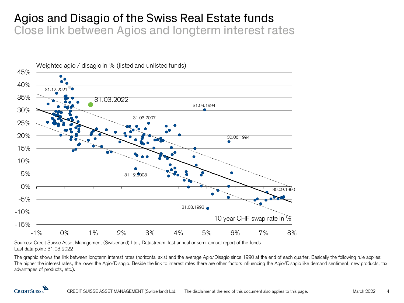# Agios and Disagio of the Swiss Real Estate funds Close link between Agios and longterm interest rates



Sources: Credit Suisse Asset Management (Switzerland) Ltd., Datastream, last annual or semi-annual report of the funds Last data point: 31.03.2022

The graphic shows the link between longterm interest rates (horizontal axis) and the average Agio/Disagio since 1990 at the end of each quarter. Basically the following rule applies: The higher the interest rates, the lower the Agio/Disagio. Beside the link to interest rates there are other factors influencing the Agio/Disagio like demand sentiment, new products, tax advantages of products, etc.).

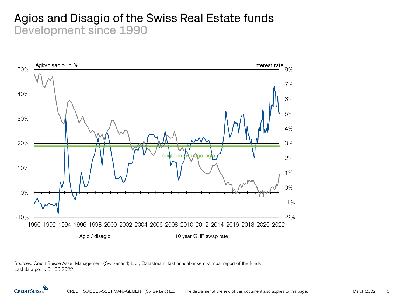# Agios and Disagio of the Swiss Real Estate funds Development since 1990



Sources: Credit Suisse Asset Management (Switzerland) Ltd., Datastream, last annual or semi-annual report of the funds Last data point: 31.03.2022

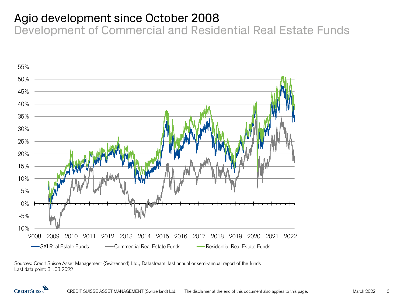# Agio development since October 2008

Development of Commercial and Residential Real Estate Funds



Sources: Credit Suisse Asset Management (Switzerland) Ltd., Datastream, last annual or semi-annual report of the funds Last data point: 31.03.2022

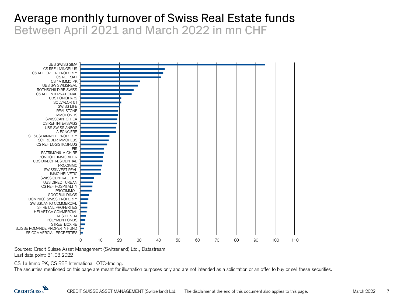# Average monthly turnover of Swiss Real Estate funds Between April 2021 and March 2022 in mn CHF



Sources: Credit Suisse Asset Management (Switzerland) Ltd., Datastream Last data point: 31.03.2022

CS 1a Immo PK, CS REF International: OTC-trading.

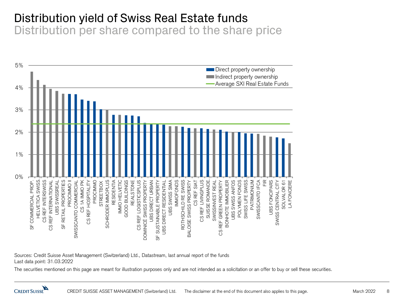# Distribution yield of Swiss Real Estate funds

Distribution per share compared to the share price



Sources: Credit Suisse Asset Management (Switzerland) Ltd., Datastream, last annual report of the funds Last data point: 31.03.2022

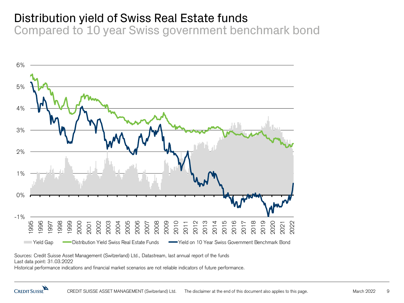# Distribution yield of Swiss Real Estate funds

Compared to 10 year Swiss government benchmark bond



Sources: Credit Suisse Asset Management (Switzerland) Ltd., Datastream, last annual report of the funds

Last data point: 31.03.2022

Historical performance indications and financial market scenarios are not reliable indicators of future performance.

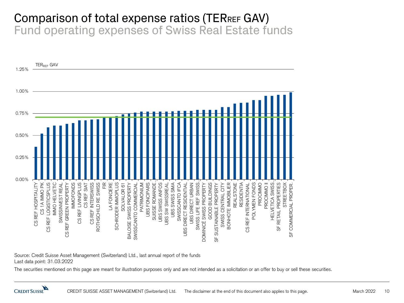#### Comparison of total expense ratios (TERREF GAV) Fund operating expenses of Swiss Real Estate funds



Source: Credit Suisse Asset Management (Switzerland) Ltd., last annual report of the funds Last data point: 31.03.2022

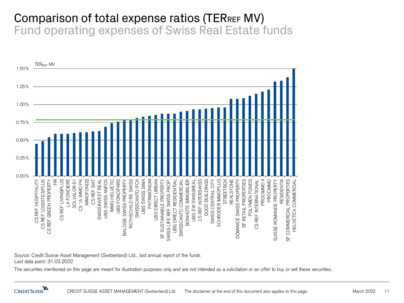#### Comparison of total expense ratios (TERREF MV) Fund operating expenses of Swiss Real Estate funds



Source: Credit Suisse Asset Management (Switzerland) Ltd., last annual report of the funds Last data point: 31.03.2022

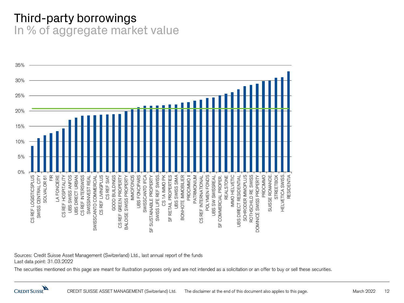# Third-party borrowings In % of aggregate market value



Sources: Credit Suisse Asset Management (Switzerland) Ltd., last annual report of the funds Last data point: 31.03.2022

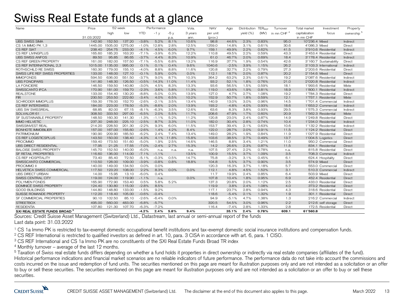# Swiss Real Estate funds at a glance

| Name                                     | Price      | 52 week |         | Performance |         | Vola. |         | <b>NAV</b> | Agio    | Distribution TERREE |       | Turnover               | Total market<br>Investment |                    | Property               |
|------------------------------------------|------------|---------|---------|-------------|---------|-------|---------|------------|---------|---------------------|-------|------------------------|----------------------------|--------------------|------------------------|
|                                          |            | high    | low     | <b>YTD</b>  | $-1v$   | -5 v  | 3 years | per unit   |         | yield (%)           | (MV)  | in mn CHF <sup>4</sup> | capitalization             | focus              | ownership <sup>5</sup> |
|                                          | 31.03.2022 |         |         |             |         | p.a.  | ann.    | (prov.)    |         |                     |       |                        | in mn CHF                  |                    |                        |
| <b>UBS SWISS SIMA</b>                    | 142.90     | 152.50  | 137.20  | $-3.8%$     | 5.2%    | 8.1%  | 10.6%   | 98.8       | 44.6%   | 2.3%                | 0.83% | 95.0                   | 10'236.4 Mixed             |                    | Indirect               |
| CS 1A IMMO PK 1.3                        | 1445.00    | 1505.00 | 1275.00 | $-1.0%$     | 12.8%   | 2.8%  | 12.5%   | 1259.0     | 14.8%   | 3.1%                | 0.61% | 30.6                   | 4'086.3 Mixed              |                    | Direct                 |
| CS REF SIAT                              | 238.40     | 254.75  | 233.00  | $-4.1%$     | 4.5%    | 6.0%  | 9.7%    | 159.1      | 49.9%   | 2.2%                | 0.62% | 41.5                   | 3'910.6 Residential        |                    | Indirect               |
| CS REF LIVINGPLUS                        | 165.60     | 185.20  | 163.20  | $-7.1%$     | $-3.9%$ | 6.3%  | 12.2%   | 110.8      | 49.5%   | 2.2%                | 0.59% | 43.3                   | 3'453.4 Residential        |                    | Direct                 |
| <b>UBS SWISS ANFOS</b>                   | 89.50      | 95.85   | 86.65   | $-3.7%$     | 4.4%    | 8.3%  | 10.9%   | 61.0       | 46.7%   | 2.0%                | 0.69% | 18.4                   | 3'178.4 Residential        |                    | Indirect               |
| CS RFF GREEN PROPERTY                    | 161.00     | 182.00  | 157.50  | $-7.1%$     | $-5.5%$ | 6.8%  | 13.2%   | 116.9      | 37.7%   | 1.9%                | 0.54% | 42.6                   | 3'160.7 Sustainability     |                    | Direct                 |
| CS REF INTERNATIONAL 2.3                 | 1015.00    | 1135.00 | 995.00  | 0.1%        | 0.1%    | 0.4%  | 9.6%    | 1040.6     | $-2.5%$ | 3.9%                | 1.15% | 26.2                   | 3'103.3 International      |                    | Indirect               |
| ROTHSCHILD RE SWISS                      | 160.30     | 179.00  | 155.10  | $-4.0%$     | 8.8%    | 8.8%  | 11.6%   | 120.8      | 32.7%   | 2.2%                | 0.79% | 27.3                   | 2'203.6 Residential        |                    | Direct                 |
| SWISS LIFE REF SWISS PROPERTIES          | 133.00     | 148.00  | 127.10  | $-0.1%$     | 5.9%    | 0.0%  | 0.0%    | 112.1      | 18.7%   | 2.0%                | 0.87% | 20.2                   | 2'154.6 Mixed              |                    | Direct                 |
| <b>IMMOFONDS</b>                         | 594.50     | 636.00  | 551.50  | $-3.7%$     | 9.0%    | 8.7%  | 10.3%   | 364.2      | 63.2%   | 2.3%                | 0.61% | 19.2                   | 2'087.6 Residential        |                    | Indirect               |
| <b>UBS FONCIPARS</b>                     | 141.80     | 148.30  | 126.50  | $-0.5%$     | 14.3%   | 11.0% | 11.4%   | 93.2       | 52.1%   | 1.8%                | 0.76% | 21.0                   | 2'020.8 Residential        |                    | Indirect               |
| <b>LA FONCIERE</b>                       | 146.50     | 159.50  | 140.80  | $-3.0%$     | 4.5%    | 8.3%  | 13.3%   | 93.6       | 56.5%   | 1.5%                | 0.59% | 18.1                   | 1'993.6 Residential        |                    | Mixte                  |
| SWISSCANTO IFCA                          | 170.90     | 181.00  | 159.70  | $-2.3%$     | 3.6%    | 5.8%  | 11.3%   | 119.0      | 43.6%   | 1.9%                | 0.81% | 18.9                   | 1'800.1 Residential        |                    | Indirect               |
| <b>REALSTONE</b>                         | 133.00     | 154.40  | 130.20  | $-8.8%$     | $-5.0%$ | 0.3%  | 13.9%   | 127.0      | 4.7%    | 2.7%                | 1.08% | 19.2                   | 1'784.3 Residential        |                    | Direct                 |
| <b>FIR</b>                               | 230.50     | 253.50  | 222.60  | $-3.4%$     | 4.0%    | 6.5%  | 10.2%   | 152.9      | 50.7%   | 1.8%                | 0.59% | 12.1                   | 1'757.1 Residential        |                    | Mixte                  |
| <b>SCHRODER IMMOPLUS</b>                 | 159.30     | 178.00  | 152.70  | $-2.6%$     | $-2.1%$ | 3.5%  | 13.4%   | 140.9      | 13.0%   | 3.0%                | 0.96% | 14.5                   | 1'701.4 Commercial         |                    | Indirect               |
| <b>CS REF INTERSWISS</b>                 | 184.00     | 223.00  | 178.50  | $-5.3%$     | $-8.6%$ | 2.0%  | 13.9%   | 193.2      | $-4.8%$ | 4.0%                | 0.93% | 18.6                   | 1'653.2 Commercial         |                    | Indirect               |
| <b>UBS SW SWISSREAL</b>                  | 68.85      | 82.00   | 67.15   | $-8.1%$     | $-6.3%$ | 3.5%  | 12.6%   | 63.6       | 8.3%    | 3.8%                | 0.93% | 29.5                   | 1'575.3 Commercial         |                    | Indirect               |
| SOLVALOR 61                              | 308.50     | 333.50  | 297.00  | $-6.5%$     | 2.0%    | 5.5%  | 11.7%   | 208.6      | 47.9%   | 1.7%                | 0.60% | 20.9                   | 1'562.3 Residential        |                    | Mixte                  |
| SF SUSTAINABLE PROPERTY                  | 148.50     | 160.30  | 141.30  | $-1.3%$     | $-1.1%$ | 5.2%  | 11.2%   | 120.8      | 23.0%   | 2.4%                | 0.87% | 14.9                   | 1'249.8 Residential        |                    | Direct                 |
| <b>IMMO HELVETIC</b>                     | 237.30     | 248.00  | 225.10  | $-2.5%$     | 8.7%    | 3.3%  | 11.0%   | 182.0      | 30.4%   | 2.8%                | 0.74% | 10.4                   | 1'234.0 Residential        |                    | Indirect               |
| SWISSINVEST REAL                         | 214.20     | 228.50  | 201.30  | $-2.2%$     | 9.3%    | 6.0%  | 11.5%   | 153.7      | 39.4%   | 2.1%                | 0.63% | 10.6                   | 1'132.2 Residential        |                    | Indirect               |
| <b>BONHOTE IMMOBILIER</b>                | 157.00     | 167.00  | 155.60  | $-2.6%$     | 1.4%    | 4.2%  | 8.4%    | 122.0      | 28.7%   | 2.0%                | 0.91% | 11.5                   | 1'124.2 Residential        |                    | Direct                 |
| <b>PATRIMONIUM</b>                       | 190.90     | 209.90  | 185.50  | $-6.2%$     | 2.4%    | 7.4%  | 13.4%   | 149.0      | 28.2%   | 1.9%                | 0.84% | 11.9                   | 1'027.9 Residential        |                    | Direct                 |
| CS REF LOGISTICSPLUS                     | 143.50     | 150.00  | 138.40  | $-4.3%$     | 4.1%    | 11.8% | 15.8%   | 103.6      | 38.5%   | 2.7%                | 0.49% | 13.7                   | 1'004.5 Logistics          |                    | Direct                 |
| <b>PROCIMMO</b>                          | 159.40     | 173.50  | 151.60  | $-5.0%$     | 1.9%    | 2.5%  | 14.6%   | 146.5      | 8.8%    | 3.4%                | 1.21% | 11.0                   |                            | 950.2 Commercial   | Direct                 |
| <b>UBS DIRECT RESIDENTIAL</b>            | 17.95      | 21.25   | 17.55   | $-7.0%$     | $-2.4%$ | 2.7%  | 15.3%   | 14.2       | 26.6%   | 2.3%                | 0.87% | 11.5                   | 834.1 Residential          |                    | Direct                 |
| <b>BALOISE SWISS PROPERTY</b>            | 145.70     | 152.50  | 140.00  | $-6.0%$     | n.a.    | n.a.  | n.a.    | 107.5      | 27.4%   | 9.9%                | 0.78% | n.a.                   | 815.8 Residential          |                    | Direct                 |
| SF RETAIL PROPERTIES                     | 116.60     | 136.00  | 114.00  | $-7.1%$     | $-1.1%$ |       | 13.5%   | 100.9      | 15.5%   | 3.7%                | 1.09% | 3.5                    |                            | 708.3 Commercial   | Indirect               |
| CS REF HOSPITALITY                       | 73.40      | 85.40   | 72.50   | $-5.1%$     | $-0.3%$ | 0.5%  | 14.7%   | 75.8       | $-3.2%$ | 3.1%                | 0.45% | 6.1                    | 624.4 Hospitality          |                    | Direct                 |
| SWISSCANTO COMMERCIAL                    | 110.50     | 128.00  | 109.00  | $-3.9%$     | $-0.8%$ | 0.8%  | 18.8%   | 104.8      | 5.5%    | 3.7%                | 0.90% | 3.5                    | 574.9 Mixed                |                    | Direct                 |
| <b>PROCIMMO II</b>                       | 140.00     | 149.00  | 134.50  | 0.0%        | 0.0%    |       |         | 120.3      | 16.3%   | 3.7%                | 1.18% | 5.7                    |                            | 553.0 Commercial   | Direct                 |
| <b>HELVETICA SWISS COMMERCIAL</b>        | 117.50     | 123.20  | 108.00  | 2.2%        | 8.3%    | 0.0%  | 0.0%    | 112.1      | 4.8%    | 4.5%                | 1.52% | 3.1                    |                            | 510.3 Commercial   | Indirect               |
| <b>UBS DIRECT URBAN</b>                  | 14.00      | 15.95   | 13.10   | $-6.0%$     | 0.4%    |       |         | 11.7       | 19.9%   | 2.4%                | 0.85% | 6.4                    | 503.9 Mixed                |                    | Direct                 |
| SWISS CENTRAL CITY                       | 119.00     | 124.00  | 119.90  | $-1.1%$     | n.a.    |       | 0.0%    | 107.8      | 10.4%   | 1.8%                | 0.95% | 6.9                    | 452.4 Residential          |                    | Direct                 |
| POLYMEN FONDS                            | 165.90     | 172.90  | 153.40  | 0.5%        | 5.8%    | 5.2%  |         | 137.3      | 20.8%   | 2.0%                | 1.12% | 2.5                    | 433.0 Residential          |                    | Direct                 |
| <b>DOMINICÉ SWISS PROPERTY</b>           | 124.40     | 130.80  | 115.00  | $-2.8%$     | 8.5%    |       |         | 119.9      | 3.8%    | 2.4%                | 1.08% | 4.0                    | 373.2 Residential          |                    | Direct                 |
| <b>GOOD BUILDINGS</b>                    | 144.80     | 148.80  | 133.00  | $-1.5%$     | 9.2%    |       |         | 117.1      | 23.7%   | 2.8%                | 0.94% | 4.3                    | 318.6 Residential          |                    | Direct                 |
| SUISSE ROMANDE PROPERTY                  | 112.20     | 118.40  | 105.00  | $-0.6%$     | $-0.4%$ |       |         | 118.6      | $-5.4%$ | 2.1%                | 1.32% | 1.9                    | 301.1 Residential          |                    | Direct                 |
| SF COMMERCIAL PROPERTIES                 | 90.10      | 102.50  | 85.10   | $-2.6%$     | $-6.4%$ | 0.0%  |         | 94.9       | $-5.1%$ | 4.7%                | 1.38% | 1.3                    |                            | 216.2 Commercial   | Indirect               |
| <b>STREETBOX</b>                         | 495.00     | 560.00  | 483.00  | $-6.8%$     | $-5.7%$ |       |         | 320.5      | 54.5%   | 3.0%                | 0.96% | 2.2                    |                            | 212.6 self storage | Direct                 |
| <b>RESIDENTIA</b>                        | 107.80     | 121.30  | 107.70  | $-6.3%$     | $-7.2%$ |       |         | 116.4      | $-7.4%$ | 2.8%                | 1.33% | 2.8                    |                            | 172.5 Residential  | Direct                 |
| SXI REAL ESTATE FUNDS BROAD <sup>3</sup> |            |         |         | $-4.2%$     | 2.4%    | 5.8%  | 9.4%    |            | 35.1%   | 2.4%                | 0.78% | 609.1                  | 61'560.8                   |                    |                        |

Sources: Credit Suisse Asset Management (Switzerland) Ltd., Datastream, last annual or semi-annual report of the funds Last data point: 31.03.2022

<sup>1</sup> CS 1a Immo PK is restricted to tax-exempt domestic occupational benefit institutions and tax-exempt domestic social insurance institutions and compensation funds.

<sup>2</sup> CS REF International is restricted to qualified investors as defined in art. 10, para. 3 CISA in accordance with art. 6, para. 1 CISO.

<sup>3</sup> CS REF International and CS 1a Immo PK are no constituents of the SXI Real Estate Funds Broad TR index

 $4$  Monthly turnover – average of the last 12 months.

<sup>5</sup> Taxation of Swiss real estate funds differs depending on whether a fund holds it properties in direct ownership or indirectly via real estate companies (affiliates of the fund). Historical performance indications and financial market scenarios are no reliable indicators of future performance. The performance data do not take into account the commissions and costs incurred on the issue and redemption of fund units. The securities mentioned on this page are meant for illustration purposes only and are not intended as a solicitation or an offer to buy or sell these securities. The securities mentioned on this page are meant for illustration purposes only and are not intended as a solicitation or an offer to buy or sell these securities.

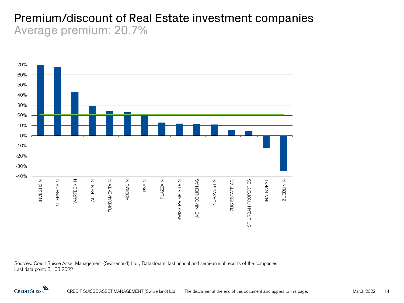#### Premium/discount of Real Estate investment companies Average premium: 20.7%



Sources: Credit Suisse Asset Management (Switzerland) Ltd., Datastream, last annual and semi-annual reports of the companies Last data point: 31.03.2022

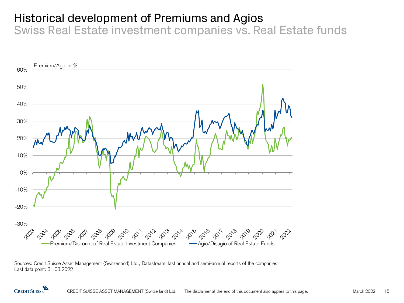# Historical development of Premiums and Agios

Swiss Real Estate investment companies vs. Real Estate funds



Sources: Credit Suisse Asset Management (Switzerland) Ltd., Datastream, last annual and semi-annual reports of the companies Last data point: 31.03.2022

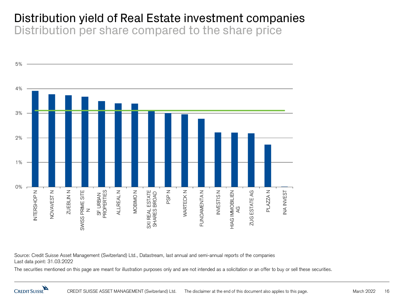# Distribution yield of Real Estate investment companies Distribution per share compared to the share price



Source: Credit Suisse Asset Management (Switzerland) Ltd., Datastream, last annual and semi-annual reports of the companies Last data point: 31.03.2022

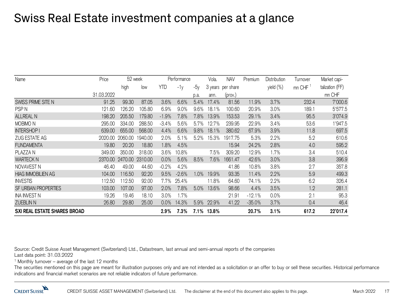# Swiss Real Estate investment companies at a glance

| Name                         | Price      | 52 week |         | Performance |         |      | Vola. | <b>NAV</b>        | Premium  | Distribution | Turnover | Market capi-    |
|------------------------------|------------|---------|---------|-------------|---------|------|-------|-------------------|----------|--------------|----------|-----------------|
|                              |            | high    | low     | <b>YTD</b>  | $-1v$   | -5у  |       | 3 years per share |          | yield (%)    | mn CHF   | talization (FF) |
|                              | 31.03.2022 |         |         |             |         | p.a. | ann.  | (prov.)           |          |              |          | mn CHF          |
| SWISS PRIME SITE N           | 91.25      | 99.30   | 87.05   | 3.6%        | 6.6%    | 5.4% | 17.4% | 81.56             | 11.9%    | 3.7%         | 232.4    | 7'000.6         |
| PSP <sub>N</sub>             | 121.60     | 126.20  | 105.80  | 6.9%        | 9.0%    | 9.6% | 18.1% | 100.60            | 20.9%    | 3.0%         | 189.1    | 5'577.5         |
| <b>ALLREAL N</b>             | 198.20     | 205.50  | 179.80  | $-1.9%$     | 7.8%    | 7.8% | 13.9% | 153.53            | 29.1%    | 3.4%         | 95.5     | 3'074.9         |
| MOBIMO <sub>N</sub>          | 295.00     | 334.00  | 288.50  | $-3.4%$     | 5.6%    | 5.7% | 12.7% | 239.95            | 22.9%    | 3.4%         | 53.6     | '947.5          |
| <b>INTERSHOP I</b>           | 639.00     | 655.00  | 568.00  | 4.4%        | 6.6%    | 9.8% | 18.1% | 380.62            | 67.9%    | 3.9%         | 11.8     | 697.5           |
| ZUG ESTATE AG                | 2020.00    | 2060.00 | 1940.00 | 2.0%        | 5.1%    | 5.2% | 15.3% | 1917.75           | 5.3%     | 2.2%         | 5.2      | 610.6           |
| <b>FUNDAMENTA</b>            | 19.80      | 20.20   | 18.80   | 1.8%        | 4.5%    |      |       | 15.94             | 24.2%    | 2.8%         | 4.0      | 595.2           |
| PLAZZA N                     | 349.00     | 350.00  | 318.00  | 3.6%        | 10.8%   |      | 7.5%  | 309.20            | 12.9%    | 1.7%         | 3.4      | 510.4           |
| <b>WARTECK N</b>             | 2370.00    | 2470.00 | 2310.00 | 0.0%        | 5.6%    | 8.5% | 7.6%  | 1661.47           | 42.6%    | 3.0%         | 3.8      | 396.9           |
| NOVAVEST N                   | 46.40      | 49.00   | 44.60   | $-0.2%$     | 4.2%    |      |       | 41.86             | 10.8%    | 3.8%         | 2.7      | 357.8           |
| <b>HIAG IMMOBILIEN AG</b>    | 104.00     | 116.50  | 92.20   | 9.5%        | $-2.6%$ | 1.0% | 19.9% | 93.35             | 11.4%    | 2.2%         | 5.9      | 499.3           |
| <b>INVESTIS</b>              | 112.50     | 112.50  | 92.00   | $7.7\%$     | 25.4%   |      | 11.8% | 64.60             | 74.1%    | 2.2%         | 6.2      | 326.4           |
| SF URBAN PROPERTIES          | 103.00     | 107.00  | 97.00   | 2.0%        | 7.8%    | 5.0% | 13.6% | 98.66             | 4.4%     | 3.5%         | 1.2      | 281.1           |
| INA INVEST N                 | 19.26      | 19.46   | 18.10   | 3.0%        | 1.7%    |      |       | 21.91             | $-12.1%$ | 0.0%         | 2.1      | 95.3            |
| <b>ZUEBLIN N</b>             | 26.80      | 29.80   | 25.00   | 0.0%        | 14.3%   | 5.9% | 22.9% | 41.22             | $-35.0%$ | 3.7%         | 0.4      | 46.4            |
| SXI REAL ESTATE SHARES BROAD |            |         |         | 2.9%        | 7.3%    | 7.1% | 13.8% |                   | 20.7%    | 3.1%         | 617.2    | 22'017.4        |

Source: Credit Suisse Asset Management (Switzerland) Ltd., Datastream, last annual and semi-annual reports of the companies Last data point: 31.03.2022

 $1$  Monthly turnover – average of the last 12 months

The securities mentioned on this page are meant for illustration purposes only and are not intended as a solicitation or an offer to buy or sell these securities. Historical performance indications and financial market scenarios are not reliable indicators of future performance.

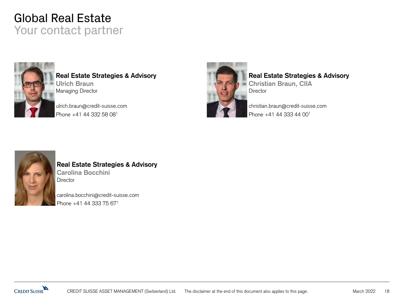# Global Real Estate Your contact partner



**Real Estate Strategies & Advisory Ulrich Braun** Managing Director

ulrich.braun@credit-suisse.com Phone +41 44 332 58 08<sup>1</sup>



#### **Real Estate Strategies & Advisory**

**Christian Braun, CIIA Director** 

christian.braun@credit-suisse.com Phone +41 44 333 44 00<sup>1</sup>



#### **Real Estate Strategies & Advisory Carolina Bocchini Director**

carolina.bocchini@credit-suisse.com Phone +41 44 333 75 671

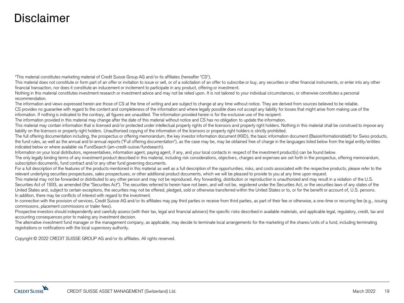# Disclaimer

"This material constitutes marketing material of Credit Suisse Group AG and/or its affiliates (hereafter "CS").

This material does not constitute or form part of an offer or invitation to issue or sell, or of a solicitation of an offer to subscribe or buy, any securities or other financial instruments, or enter into any other financial transaction, nor does it constitute an inducement or incitement to participate in any product, offering or investment.

Nothing in this material constitutes investment research or investment advice and may not be relied upon. It is not tailored to your individual circumstances, or otherwise constitutes a personal recommendation.

The information and views expressed herein are those of CS at the time of writing and are subject to change at any time without notice. They are derived from sources believed to be reliable. CS provides no guarantee with regard to the content and completeness of the information and where legally possible does not accept any liability for losses that might arise from making use of the information. If nothing is indicated to the contrary, all figures are unaudited. The information provided herein is for the exclusive use of the recipient.

The information provided in this material may change after the date of this material without notice and CS has no obligation to update the information.

This material may contain information that is licensed and/or protected under intellectual property rights of the licensors and property right holders. Nothing in this material shall be construed to impose any liability on the licensors or property right holders. Unauthorised copying of the information of the licensors or property right holders is strictly prohibited.

The full offering documentation including, the prospectus or offering memorandum, the key investor information document (KIID), the basic information document (Basisinformationsblatt) for Swiss products, the fund rules, as well as the annual and bi-annual reports ("Full offering documentation"), as the case may be, may be obtained free of charge in the languages listed below from the legal entity/entities indicated below or where available via FundSearch (am-credit-suisse/fundsearch).

Information on your local distributors, representatives, information agent, paying agent, if any, and your local contacts in respect of the investment product(s) can be found below.

The only legally binding terms of any investment product described in this material, including risk considerations, objectives, charges and expenses are set forth in the prospectus, offering memorandum, subscription documents, fund contract and/or any other fund governing documents.

For a full description of the features of the products mentioned in this material as well as a full description of the opportunities, risks, and costs associated with the respective products, please refer to the relevant underlying securities prospectuses, sales prospectuses, or other additional product documents, which we will be pleased to provide to you at any time upon request.

This material may not be forwarded or distributed to any other person and may not be reproduced. Any forwarding, distribution or reproduction is unauthorized and may result in a violation of the U.S. Securities Act of 1933, as amended (the "Securities Act"). The securities referred to herein have not been, and will not be, registered under the Securities Act, or the securities laws of any states of the United States and, subject to certain exceptions, the securities may not be offered, pledged, sold or otherwise transferred within the United States or to, or for the benefit or account of, U.S. persons. In addition, there may be conflicts of interest with regard to the investment.

In connection with the provision of services, Credit Suisse AG and/or its affiliates may pay third parties or receive from third parties, as part of their fee or otherwise, a one-time or recurring fee (e.g., issuing commissions, placement commissions or trailer fees).

Prospective investors should independently and carefully assess (with their tax, legal and financial advisers) the specific risks described in available materials, and applicable legal, regulatory, credit, tax and accounting consequences prior to making any investment decision.

The alternative investment fund manager or the management company, as applicable, may decide to terminate local arrangements for the marketing of the shares/units of a fund, including terminating registrations or notifications with the local supervisory authority.

Copyright © 2022 CREDIT SUISSE GROUP AG and/or its affiliates. All rights reserved.